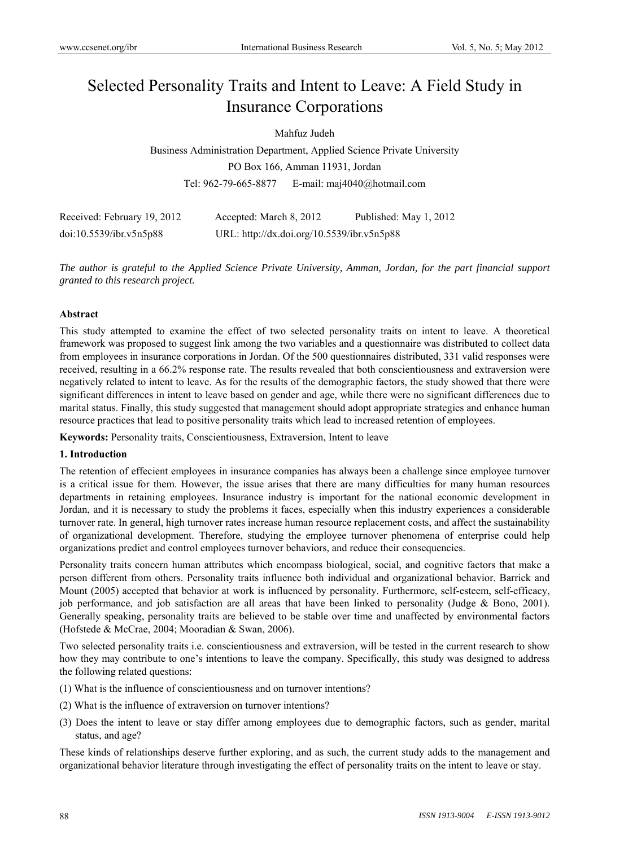# Selected Personality Traits and Intent to Leave: A Field Study in Insurance Corporations

Mahfuz Judeh

Business Administration Department, Applied Science Private University PO Box 166, Amman 11931, Jordan Tel: 962-79-665-8877 E-mail: maj4040@hotmail.com

| Received: February 19, 2012 | Accepted: March 8, 2012                    | Published: May 1, 2012 |
|-----------------------------|--------------------------------------------|------------------------|
| doi:10.5539/ibr.v5n5p88     | URL: http://dx.doi.org/10.5539/ibr.v5n5p88 |                        |

*The author is grateful to the Applied Science Private University, Amman, Jordan, for the part financial support granted to this research project.* 

#### **Abstract**

This study attempted to examine the effect of two selected personality traits on intent to leave. A theoretical framework was proposed to suggest link among the two variables and a questionnaire was distributed to collect data from employees in insurance corporations in Jordan. Of the 500 questionnaires distributed, 331 valid responses were received, resulting in a 66.2% response rate. The results revealed that both conscientiousness and extraversion were negatively related to intent to leave. As for the results of the demographic factors, the study showed that there were significant differences in intent to leave based on gender and age, while there were no significant differences due to marital status. Finally, this study suggested that management should adopt appropriate strategies and enhance human resource practices that lead to positive personality traits which lead to increased retention of employees.

**Keywords:** Personality traits, Conscientiousness, Extraversion, Intent to leave

#### **1. Introduction**

The retention of effecient employees in insurance companies has always been a challenge since employee turnover is a critical issue for them. However, the issue arises that there are many difficulties for many human resources departments in retaining employees. Insurance industry is important for the national economic development in Jordan, and it is necessary to study the problems it faces, especially when this industry experiences a considerable turnover rate. In general, high turnover rates increase human resource replacement costs, and affect the sustainability of organizational development. Therefore, studying the employee turnover phenomena of enterprise could help organizations predict and control employees turnover behaviors, and reduce their consequencies.

Personality traits concern human attributes which encompass biological, social, and cognitive factors that make a person different from others. Personality traits influence both individual and organizational behavior. Barrick and Mount (2005) accepted that behavior at work is influenced by personality. Furthermore, self-esteem, self-efficacy, job performance, and job satisfaction are all areas that have been linked to personality (Judge & Bono, 2001). Generally speaking, personality traits are believed to be stable over time and unaffected by environmental factors (Hofstede & McCrae, 2004; Mooradian & Swan, 2006).

Two selected personality traits i.e. conscientiousness and extraversion, will be tested in the current research to show how they may contribute to one's intentions to leave the company. Specifically, this study was designed to address the following related questions:

- (1) What is the influence of conscientiousness and on turnover intentions?
- (2) What is the influence of extraversion on turnover intentions?
- (3) Does the intent to leave or stay differ among employees due to demographic factors, such as gender, marital status, and age?

These kinds of relationships deserve further exploring, and as such, the current study adds to the management and organizational behavior literature through investigating the effect of personality traits on the intent to leave or stay.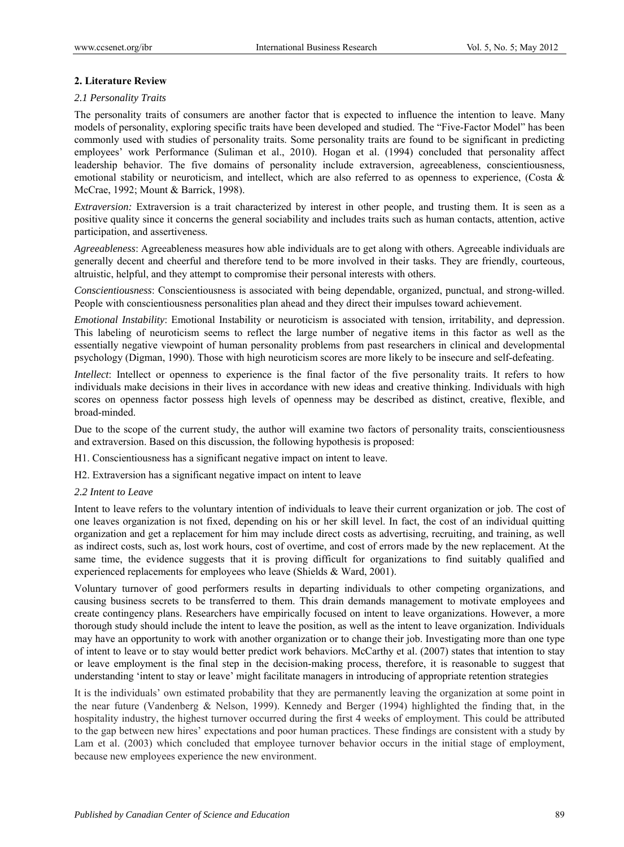# **2. Literature Review**

## *2.1 Personality Traits*

The personality traits of consumers are another factor that is expected to influence the intention to leave. Many models of personality, exploring specific traits have been developed and studied. The "Five-Factor Model" has been commonly used with studies of personality traits. Some personality traits are found to be significant in predicting employees' work Performance (Suliman et al., 2010). Hogan et al. (1994) concluded that personality affect leadership behavior. The five domains of personality include extraversion, agreeableness, conscientiousness, emotional stability or neuroticism, and intellect, which are also referred to as openness to experience, (Costa  $\&$ McCrae, 1992; Mount & Barrick, 1998).

*Extraversion:* Extraversion is a trait characterized by interest in other people, and trusting them. It is seen as a positive quality since it concerns the general sociability and includes traits such as human contacts, attention, active participation, and assertiveness.

*Agreeableness*: Agreeableness measures how able individuals are to get along with others. Agreeable individuals are generally decent and cheerful and therefore tend to be more involved in their tasks. They are friendly, courteous, altruistic, helpful, and they attempt to compromise their personal interests with others.

*Conscientiousness*: Conscientiousness is associated with being dependable, organized, punctual, and strong-willed. People with conscientiousness personalities plan ahead and they direct their impulses toward achievement.

*Emotional Instability*: Emotional Instability or neuroticism is associated with tension, irritability, and depression. This labeling of neuroticism seems to reflect the large number of negative items in this factor as well as the essentially negative viewpoint of human personality problems from past researchers in clinical and developmental psychology (Digman, 1990). Those with high neuroticism scores are more likely to be insecure and self-defeating.

*Intellect*: Intellect or openness to experience is the final factor of the five personality traits. It refers to how individuals make decisions in their lives in accordance with new ideas and creative thinking. Individuals with high scores on openness factor possess high levels of openness may be described as distinct, creative, flexible, and broad-minded.

Due to the scope of the current study, the author will examine two factors of personality traits, conscientiousness and extraversion. Based on this discussion, the following hypothesis is proposed:

H1. Conscientiousness has a significant negative impact on intent to leave.

H2. Extraversion has a significant negative impact on intent to leave

#### *2.2 Intent to Leave*

Intent to leave refers to the voluntary intention of individuals to leave their current organization or job. The cost of one leaves organization is not fixed, depending on his or her skill level. In fact, the cost of an individual quitting organization and get a replacement for him may include direct costs as advertising, recruiting, and training, as well as indirect costs, such as, lost work hours, cost of overtime, and cost of errors made by the new replacement. At the same time, the evidence suggests that it is proving difficult for organizations to find suitably qualified and experienced replacements for employees who leave (Shields & Ward, 2001).

Voluntary turnover of good performers results in departing individuals to other competing organizations, and causing business secrets to be transferred to them. This drain demands management to motivate employees and create contingency plans. Researchers have empirically focused on intent to leave organizations. However, a more thorough study should include the intent to leave the position, as well as the intent to leave organization. Individuals may have an opportunity to work with another organization or to change their job. Investigating more than one type of intent to leave or to stay would better predict work behaviors. McCarthy et al. (2007) states that intention to stay or leave employment is the final step in the decision-making process, therefore, it is reasonable to suggest that understanding 'intent to stay or leave' might facilitate managers in introducing of appropriate retention strategies

It is the individuals' own estimated probability that they are permanently leaving the organization at some point in the near future (Vandenberg & Nelson, 1999). Kennedy and Berger (1994) highlighted the finding that, in the hospitality industry, the highest turnover occurred during the first 4 weeks of employment. This could be attributed to the gap between new hires' expectations and poor human practices. These findings are consistent with a study by Lam et al. (2003) which concluded that employee turnover behavior occurs in the initial stage of employment, because new employees experience the new environment.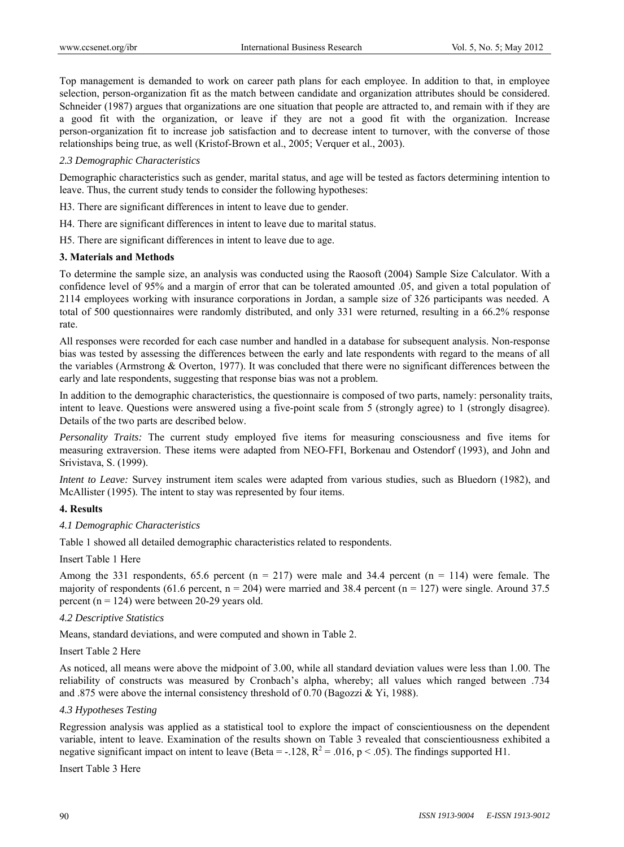Top management is demanded to work on career path plans for each employee. In addition to that, in employee selection, person-organization fit as the match between candidate and organization attributes should be considered. Schneider (1987) argues that organizations are one situation that people are attracted to, and remain with if they are a good fit with the organization, or leave if they are not a good fit with the organization. Increase person-organization fit to increase job satisfaction and to decrease intent to turnover, with the converse of those relationships being true, as well (Kristof-Brown et al., 2005; Verquer et al., 2003).

#### *2.3 Demographic Characteristics*

Demographic characteristics such as gender, marital status, and age will be tested as factors determining intention to leave. Thus, the current study tends to consider the following hypotheses:

- H3. There are significant differences in intent to leave due to gender.
- H4. There are significant differences in intent to leave due to marital status.
- H5. There are significant differences in intent to leave due to age.

# **3. Materials and Methods**

To determine the sample size, an analysis was conducted using the Raosoft (2004) Sample Size Calculator. With a confidence level of 95% and a margin of error that can be tolerated amounted .05, and given a total population of 2114 employees working with insurance corporations in Jordan, a sample size of 326 participants was needed. A total of 500 questionnaires were randomly distributed, and only 331 were returned, resulting in a 66.2% response rate.

All responses were recorded for each case number and handled in a database for subsequent analysis. Non-response bias was tested by assessing the differences between the early and late respondents with regard to the means of all the variables (Armstrong & Overton, 1977). It was concluded that there were no significant differences between the early and late respondents, suggesting that response bias was not a problem.

In addition to the demographic characteristics, the questionnaire is composed of two parts, namely: personality traits, intent to leave. Questions were answered using a five-point scale from 5 (strongly agree) to 1 (strongly disagree). Details of the two parts are described below.

*Personality Traits:* The current study employed five items for measuring consciousness and five items for measuring extraversion. These items were adapted from NEO-FFI, Borkenau and Ostendorf (1993), and John and Srivistava, S. (1999).

*Intent to Leave:* Survey instrument item scales were adapted from various studies, such as Bluedorn (1982), and McAllister (1995). The intent to stay was represented by four items.

#### **4. Results**

#### *4.1 Demographic Characteristics*

Table 1 showed all detailed demographic characteristics related to respondents.

#### Insert Table 1 Here

Among the 331 respondents, 65.6 percent ( $n = 217$ ) were male and 34.4 percent ( $n = 114$ ) were female. The majority of respondents (61.6 percent,  $n = 204$ ) were married and 38.4 percent ( $n = 127$ ) were single. Around 37.5 percent ( $n = 124$ ) were between 20-29 years old.

#### *4.2 Descriptive Statistics*

Means, standard deviations, and were computed and shown in Table 2.

### Insert Table 2 Here

As noticed, all means were above the midpoint of 3.00, while all standard deviation values were less than 1.00. The reliability of constructs was measured by Cronbach's alpha, whereby; all values which ranged between .734 and .875 were above the internal consistency threshold of 0.70 (Bagozzi & Yi, 1988).

#### *4.3 Hypotheses Testing*

Regression analysis was applied as a statistical tool to explore the impact of conscientiousness on the dependent variable, intent to leave. Examination of the results shown on Table 3 revealed that conscientiousness exhibited a negative significant impact on intent to leave (Beta = -.128,  $R^2$  = .016, p < .05). The findings supported H1.

#### Insert Table 3 Here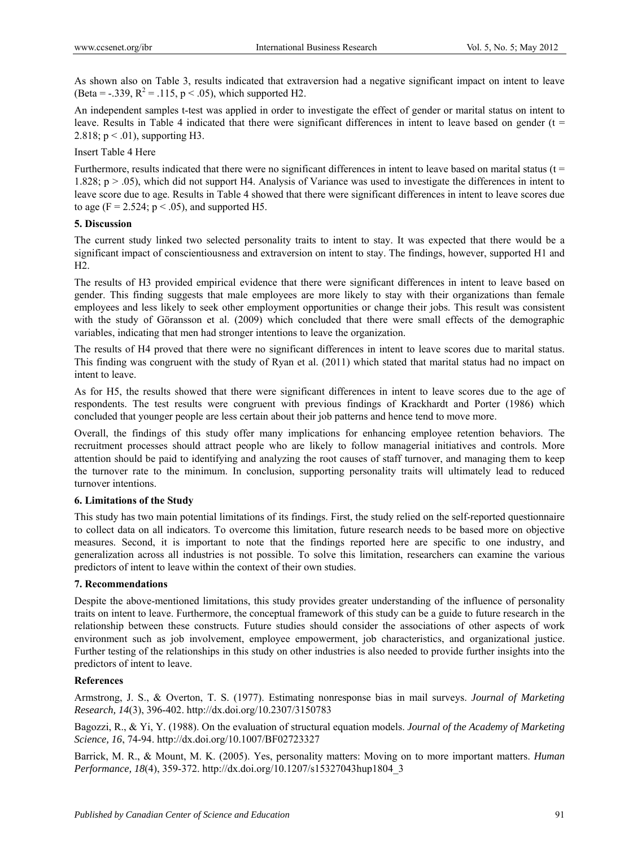As shown also on Table 3, results indicated that extraversion had a negative significant impact on intent to leave (Beta = -.339,  $R^2 = .115$ ,  $p < .05$ ), which supported H2.

An independent samples t-test was applied in order to investigate the effect of gender or marital status on intent to leave. Results in Table 4 indicated that there were significant differences in intent to leave based on gender ( $t =$ 2.818;  $p < .01$ ), supporting H3.

# Insert Table 4 Here

Furthermore, results indicated that there were no significant differences in intent to leave based on marital status ( $t =$ 1.828; p > .05), which did not support H4. Analysis of Variance was used to investigate the differences in intent to leave score due to age. Results in Table 4 showed that there were significant differences in intent to leave scores due to age (F = 2.524;  $p < .05$ ), and supported H5.

# **5. Discussion**

The current study linked two selected personality traits to intent to stay. It was expected that there would be a significant impact of conscientiousness and extraversion on intent to stay. The findings, however, supported H1 and H2.

The results of H3 provided empirical evidence that there were significant differences in intent to leave based on gender. This finding suggests that male employees are more likely to stay with their organizations than female employees and less likely to seek other employment opportunities or change their jobs. This result was consistent with the study of Göransson et al. (2009) which concluded that there were small effects of the demographic variables, indicating that men had stronger intentions to leave the organization.

The results of H4 proved that there were no significant differences in intent to leave scores due to marital status. This finding was congruent with the study of Ryan et al. (2011) which stated that marital status had no impact on intent to leave.

As for H5, the results showed that there were significant differences in intent to leave scores due to the age of respondents. The test results were congruent with previous findings of Krackhardt and Porter (1986) which concluded that younger people are less certain about their job patterns and hence tend to move more.

Overall, the findings of this study offer many implications for enhancing employee retention behaviors. The recruitment processes should attract people who are likely to follow managerial initiatives and controls. More attention should be paid to identifying and analyzing the root causes of staff turnover, and managing them to keep the turnover rate to the minimum. In conclusion, supporting personality traits will ultimately lead to reduced turnover intentions.

# **6. Limitations of the Study**

This study has two main potential limitations of its findings. First, the study relied on the self-reported questionnaire to collect data on all indicators. To overcome this limitation, future research needs to be based more on objective measures. Second, it is important to note that the findings reported here are specific to one industry, and generalization across all industries is not possible. To solve this limitation, researchers can examine the various predictors of intent to leave within the context of their own studies.

# **7. Recommendations**

Despite the above-mentioned limitations, this study provides greater understanding of the influence of personality traits on intent to leave. Furthermore, the conceptual framework of this study can be a guide to future research in the relationship between these constructs. Future studies should consider the associations of other aspects of work environment such as job involvement, employee empowerment, job characteristics, and organizational justice. Further testing of the relationships in this study on other industries is also needed to provide further insights into the predictors of intent to leave.

#### **References**

Armstrong, J. S., & Overton, T. S. (1977). Estimating nonresponse bias in mail surveys. *Journal of Marketing Research, 14*(3), 396-402. http://dx.doi.org/10.2307/3150783

Bagozzi, R., & Yi, Y. (1988). On the evaluation of structural equation models. *Journal of the Academy of Marketing Science, 16*, 74-94. http://dx.doi.org/10.1007/BF02723327

Barrick, M. R., & Mount, M. K. (2005). Yes, personality matters: Moving on to more important matters. *Human Performance, 18*(4), 359-372. http://dx.doi.org/10.1207/s15327043hup1804\_3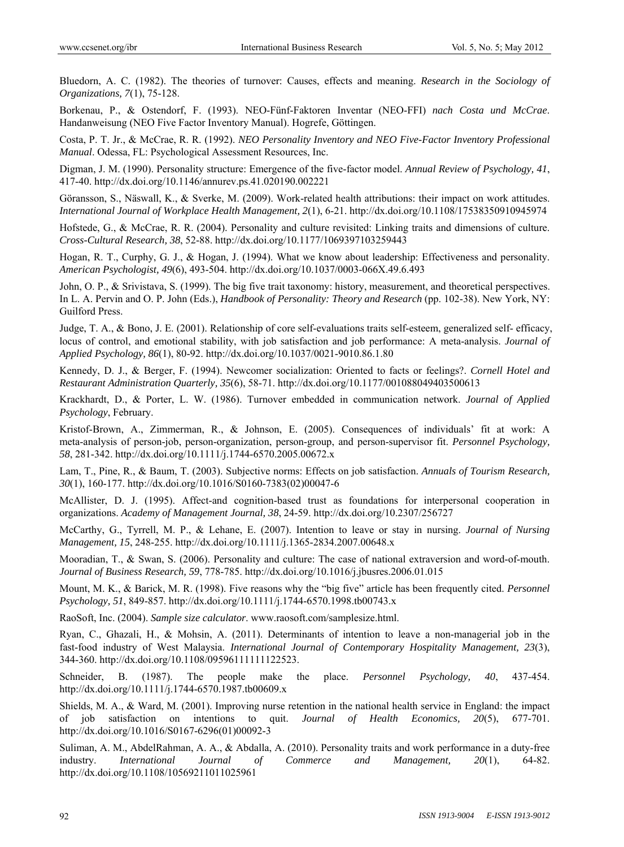Bluedorn, A. C. (1982). The theories of turnover: Causes, effects and meaning. *Research in the Sociology of Organizations, 7*(1), 75-128.

Borkenau, P., & Ostendorf, F. (1993). NEO-Fünf-Faktoren Inventar (NEO-FFI) *nach Costa und McCrae*. Handanweisung (NEO Five Factor Inventory Manual). Hogrefe, Göttingen.

Costa, P. T. Jr., & McCrae, R. R. (1992). *NEO Personality Inventory and NEO Five-Factor Inventory Professional Manual*. Odessa, FL: Psychological Assessment Resources, Inc.

Digman, J. M. (1990). Personality structure: Emergence of the five-factor model. *Annual Review of Psychology, 41*, 417-40. http://dx.doi.org/10.1146/annurev.ps.41.020190.002221

Göransson, S., Näswall, K., & Sverke, M. (2009). Work-related health attributions: their impact on work attitudes. *International Journal of Workplace Health Management, 2*(1), 6-21. http://dx.doi.org/10.1108/17538350910945974

Hofstede, G., & McCrae, R. R. (2004). Personality and culture revisited: Linking traits and dimensions of culture. *Cross-Cultural Research, 38*, 52-88. http://dx.doi.org/10.1177/1069397103259443

Hogan, R. T., Curphy, G. J., & Hogan, J. (1994). What we know about leadership: Effectiveness and personality. *American Psychologist, 49*(6), 493-504. http://dx.doi.org/10.1037/0003-066X.49.6.493

John, O. P., & Srivistava, S. (1999). The big five trait taxonomy: history, measurement, and theoretical perspectives. In L. A. Pervin and O. P. John (Eds.), *Handbook of Personality: Theory and Research* (pp. 102-38). New York, NY: Guilford Press.

Judge, T. A., & Bono, J. E. (2001). Relationship of core self-evaluations traits self-esteem, generalized self- efficacy, locus of control, and emotional stability, with job satisfaction and job performance: A meta-analysis. *Journal of Applied Psychology, 86*(1), 80-92. http://dx.doi.org/10.1037/0021-9010.86.1.80

Kennedy, D. J., & Berger, F. (1994). Newcomer socialization: Oriented to facts or feelings?. *Cornell Hotel and Restaurant Administration Quarterly, 35*(6), 58-71. http://dx.doi.org/10.1177/001088049403500613

Krackhardt, D., & Porter, L. W. (1986). Turnover embedded in communication network. *Journal of Applied Psychology*, February.

Kristof-Brown, A., Zimmerman, R., & Johnson, E. (2005). Consequences of individuals' fit at work: A meta-analysis of person-job, person-organization, person-group, and person-supervisor fit. *Personnel Psychology, 58*, 281-342. http://dx.doi.org/10.1111/j.1744-6570.2005.00672.x

Lam, T., Pine, R., & Baum, T. (2003). Subjective norms: Effects on job satisfaction. *Annuals of Tourism Research, 30*(1), 160-177. http://dx.doi.org/10.1016/S0160-7383(02)00047-6

McAllister, D. J. (1995). Affect-and cognition-based trust as foundations for interpersonal cooperation in organizations. *Academy of Management Journal, 38*, 24-59. http://dx.doi.org/10.2307/256727

McCarthy, G., Tyrrell, M. P., & Lehane, E. (2007). Intention to leave or stay in nursing. *Journal of Nursing Management, 15*, 248-255. http://dx.doi.org/10.1111/j.1365-2834.2007.00648.x

Mooradian, T., & Swan, S. (2006). Personality and culture: The case of national extraversion and word-of-mouth. *Journal of Business Research, 59*, 778-785. http://dx.doi.org/10.1016/j.jbusres.2006.01.015

Mount, M. K., & Barick, M. R. (1998). Five reasons why the "big five" article has been frequently cited. *Personnel Psychology, 51*, 849-857. http://dx.doi.org/10.1111/j.1744-6570.1998.tb00743.x

RaoSoft, Inc. (2004). *Sample size calculator*. www.raosoft.com/samplesize.html.

Ryan, C., Ghazali, H., & Mohsin, A. (2011). Determinants of intention to leave a non-managerial job in the fast-food industry of West Malaysia. *International Journal of Contemporary Hospitality Management, 23*(3), 344-360. http://dx.doi.org/10.1108/09596111111122523.

Schneider, B. (1987). The people make the place. *Personnel Psychology, 40*, 437-454. http://dx.doi.org/10.1111/j.1744-6570.1987.tb00609.x

Shields, M. A., & Ward, M. (2001). Improving nurse retention in the national health service in England: the impact of job satisfaction on intentions to quit. *Journal of Health Economics, 20*(5), 677-701. http://dx.doi.org/10.1016/S0167-6296(01)00092-3

Suliman, A. M., AbdelRahman, A. A., & Abdalla, A. (2010). Personality traits and work performance in a duty-free industry. *International Journal of Commerce and Management, 20*(1), 64-82. http://dx.doi.org/10.1108/10569211011025961